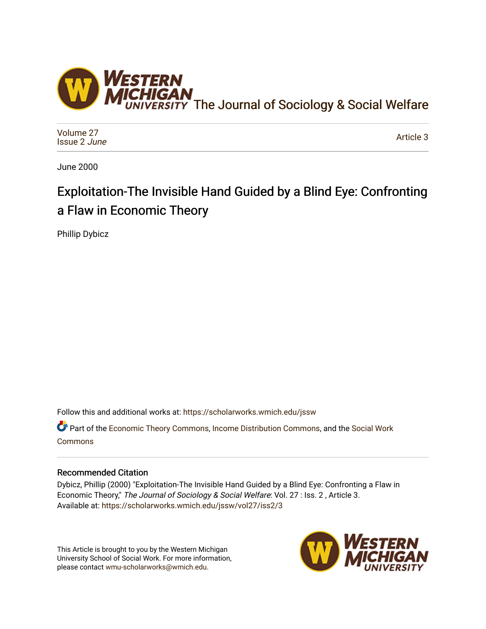

[Volume 27](https://scholarworks.wmich.edu/jssw/vol27) [Issue 2](https://scholarworks.wmich.edu/jssw/vol27/iss2) June

[Article 3](https://scholarworks.wmich.edu/jssw/vol27/iss2/3) 

June 2000

# Exploitation-The Invisible Hand Guided by a Blind Eye: Confronting a Flaw in Economic Theory

Phillip Dybicz

Follow this and additional works at: [https://scholarworks.wmich.edu/jssw](https://scholarworks.wmich.edu/jssw?utm_source=scholarworks.wmich.edu%2Fjssw%2Fvol27%2Fiss2%2F3&utm_medium=PDF&utm_campaign=PDFCoverPages) 

Part of the [Economic Theory Commons](http://network.bepress.com/hgg/discipline/344?utm_source=scholarworks.wmich.edu%2Fjssw%2Fvol27%2Fiss2%2F3&utm_medium=PDF&utm_campaign=PDFCoverPages), [Income Distribution Commons](http://network.bepress.com/hgg/discipline/1269?utm_source=scholarworks.wmich.edu%2Fjssw%2Fvol27%2Fiss2%2F3&utm_medium=PDF&utm_campaign=PDFCoverPages), and the Social Work [Commons](http://network.bepress.com/hgg/discipline/713?utm_source=scholarworks.wmich.edu%2Fjssw%2Fvol27%2Fiss2%2F3&utm_medium=PDF&utm_campaign=PDFCoverPages)

## Recommended Citation

Dybicz, Phillip (2000) "Exploitation-The Invisible Hand Guided by a Blind Eye: Confronting a Flaw in Economic Theory," The Journal of Sociology & Social Welfare: Vol. 27 : Iss. 2 , Article 3. Available at: [https://scholarworks.wmich.edu/jssw/vol27/iss2/3](https://scholarworks.wmich.edu/jssw/vol27/iss2/3?utm_source=scholarworks.wmich.edu%2Fjssw%2Fvol27%2Fiss2%2F3&utm_medium=PDF&utm_campaign=PDFCoverPages)

This Article is brought to you by the Western Michigan University School of Social Work. For more information, please contact [wmu-scholarworks@wmich.edu.](mailto:wmu-scholarworks@wmich.edu)

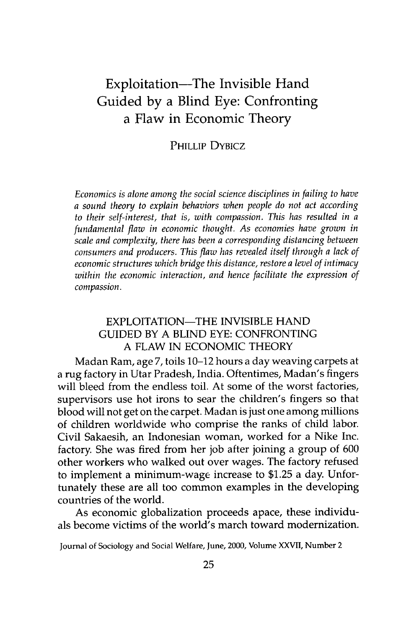# Exploitation—The Invisible Hand Guided **by** a Blind Eye: Confronting a Flaw in Economic Theory

#### PHILLIP DYBICZ

*Economics is alone among the social science disciplines in failing to have a sound theory to explain behaviors when people do not act according to their self-interest, that is, with compassion. This has resulted in a fundamental flaw in economic thought. As economies have grown in scale and complexity, there has been a corresponding distancing between consumers and producers. This flaw has revealed itself through a lack of economic structures which bridge this distance, restore a level of intimacy within the economic interaction, and hence facilitate the expression of compassion.*

#### EXPLOITATION-THE INVISIBLE HAND GUIDED BY A BLIND EYE: CONFRONTING A FLAW IN ECONOMIC THEORY

Madan Ram, age 7, toils 10-12 hours a day weaving carpets at a rug factory in Utar Pradesh, India. Oftentimes, Madan's fingers will bleed from the endless toil. At some of the worst factories, supervisors use hot irons to sear the children's fingers so that blood will not get on the carpet. Madan is just one among millions of children worldwide who comprise the ranks of child labor. Civil Sakaesih, an Indonesian woman, worked for a Nike Inc. factory. She was fired from her job after joining a group of 600 other workers who walked out over wages. The factory refused to implement a minimum-wage increase to \$1.25 a day. Unfortunately these are all too common examples in the developing countries of the world.

As economic globalization proceeds apace, these individuals become victims of the world's march toward modernization.

Journal of Sociology and Social Welfare, June, 2000, Volume XXVII, Number 2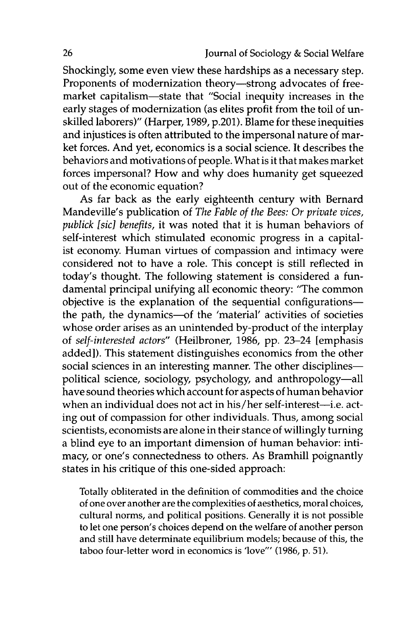Shockingly, some even view these hardships as a necessary step. Proponents of modernization theory-strong advocates of freemarket capitalism-state that "Social inequity increases in the early stages of modernization (as elites profit from the toil of unskilled laborers)" (Harper, 1989, p.201). Blame for these inequities and injustices is often attributed to the impersonal nature of market forces. And yet, economics is a social science. It describes the behaviors and motivations of people. What is it that makes market forces impersonal? How and why does humanity get squeezed out of the economic equation?

As far back as the early eighteenth century with Bernard Mandeville's publication of *The Fable of the Bees: Or private vices, publick [sic] benefits,* it was noted that it is human behaviors of self-interest which stimulated economic progress in a capitalist economy. Human virtues of compassion and intimacy were considered not to have a role. This concept is still reflected in today's thought. The following statement is considered a fundamental principal unifying all economic theory: "The common objective is the explanation of the sequential configurationsthe path, the dynamics-of the 'material' activities of societies whose order arises as an unintended by-product of the interplay of *self-interested actors"* (Heilbroner, 1986, pp. 23-24 [emphasis added]). This statement distinguishes economics from the other social sciences in an interesting manner. The other disciplinespolitical science, sociology, psychology, and anthropology-all have sound theories which account for aspects of human behavior when an individual does not act in his/her self-interest-i.e. acting out of compassion for other individuals. Thus, among social scientists, economists are alone in their stance of willingly turning a blind eye to an important dimension of human behavior: intimacy, or one's connectedness to others. As Bramhill poignantly states in his critique of this one-sided approach:

Totally obliterated in the definition of commodities and the choice of one over another are the complexities of aesthetics, moral choices, cultural norms, and political positions. Generally it is not possible to let one person's choices depend on the welfare of another person and still have determinate equilibrium models; because of this, the taboo four-letter word in economics is 'love"' (1986, p. 51).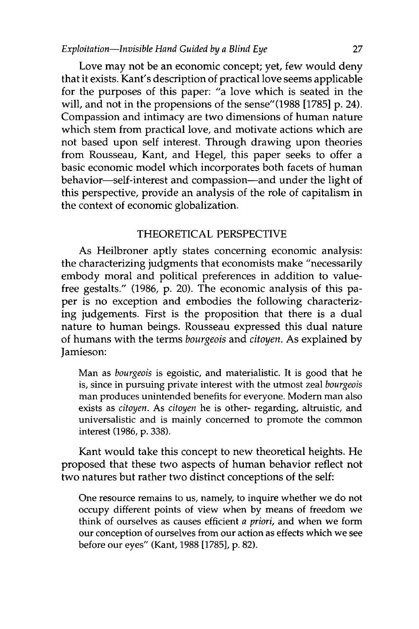Love may not be an economic concept; yet, few would deny that it exists. Kant's description of practical love seems applicable for the purposes of this paper: "a love which is seated in the will, and not in the propensions of the sense"(1988 [1785] p. 24). Compassion and intimacy are two dimensions of human nature which stem from practical love, and motivate actions which are not based upon self interest. Through drawing upon theories from Rousseau, Kant, and Hegel, this paper seeks to offer a basic economic model which incorporates both facets of human behavior-self-interest and compassion-and under the light of this perspective, provide an analysis of the role of capitalism in the context of economic globalization.

#### THEORETICAL PERSPECTIVE

As Heilbroner aptly states concerning economic analysis: the characterizing judgments that economists make "necessarily embody moral and political preferences in addition to valuefree gestalts." (1986, p. 20). The economic analysis of this paper is no exception and embodies the following characterizing judgements. First is the proposition that there is a dual nature to human beings. Rousseau expressed this dual nature of humans with the terms *bourgeois* and *citoyen.* As explained by Jamieson:

Man as *bourgeois* is egoistic, and materialistic. It is good that he is, since in pursuing private interest with the utmost zeal *bourgeois* man produces unintended benefits for everyone. Modern man also exists as *citoyen.* As *citoyen* he is other- regarding, altruistic, and universalistic and is mainly concerned to promote the common interest (1986, **p.** 338).

Kant would take this concept to new theoretical heights. He proposed that these two aspects of human behavior reflect not two natures but rather two distinct conceptions of the self:

One resource remains to us, namely, to inquire whether we do not occupy different points of view when by means of freedom we think of ourselves as causes efficient *a priori,* and when we form our conception of ourselves from our action as effects which we see before our eyes" (Kant, 1988 [1785], p. 82).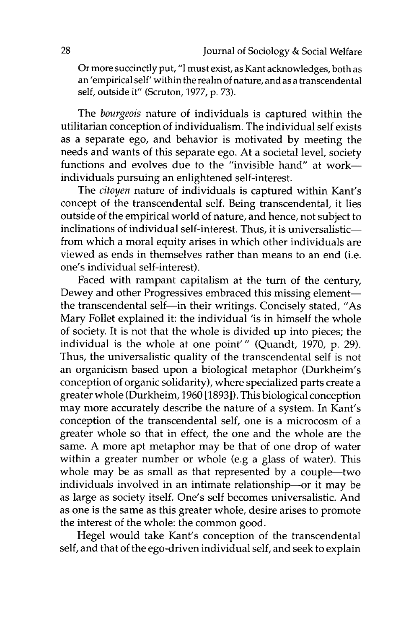Or more succinctly put, "I must exist, as Kant acknowledges, both as an 'empirical self' within the realm of nature, and as a transcendental self, outside it" (Scruton, 1977, p. 73).

The *bourgeois* nature of individuals is captured within the utilitarian conception of individualism. The individual self exists as a separate ego, and behavior is motivated by meeting the needs and wants of this separate ego. At a societal level, society functions and evolves due to the "invisible hand" at workindividuals pursuing an enlightened self-interest.

The *citoyen* nature of individuals is captured within Kant's concept of the transcendental self. Being transcendental, it lies outside of the empirical world of nature, and hence, not subject to inclinations of individual self-interest. Thus, it is universalisticfrom which a moral equity arises in which other individuals are viewed as ends in themselves rather than means to an end (i.e. one's individual self-interest).

Faced with rampant capitalism at the turn of the century, Dewey and other Progressives embraced this missing elementthe transcendental self-in their writings. Concisely stated, "As Mary Follet explained it: the individual 'is in himself the whole of society. It is not that the whole is divided up into pieces; the individual is the whole at one point"' (Quandt, 1970, p. 29). Thus, the universalistic quality of the transcendental self is not an organicism based upon a biological metaphor (Durkheim's conception of organic solidarity), where specialized parts create a greater whole (Durkheim, 1960 [18931). This biological conception may more accurately describe the nature of a system. In Kant's conception of the transcendental self, one is a microcosm of a greater whole so that in effect, the one and the whole are the same. A more apt metaphor may be that of one drop of water within a greater number or whole (e.g a glass of water). This whole may be as small as that represented by a couple-two individuals involved in an intimate relationship-or it may be as large as society itself. One's self becomes universalistic. And as one is the same as this greater whole, desire arises to promote the interest of the whole: the common good.

Hegel would take Kant's conception of the transcendental self, and that of the ego-driven individual self, and seek to explain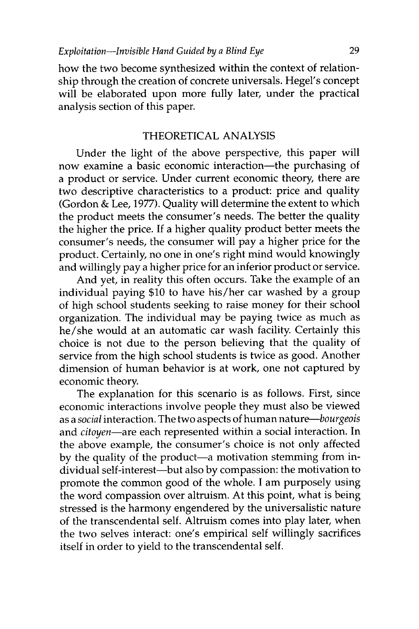how the two become synthesized within the context of relationship through the creation of concrete universals. Hegel's concept will be elaborated upon more fully later, under the practical analysis section of this paper.

#### THEORETICAL ANALYSIS

Under the light of the above perspective, this paper will now examine a basic economic interaction—the purchasing of a product or service. Under current economic theory, there are two descriptive characteristics to a product: price and quality (Gordon & Lee, 1977). Quality will determine the extent to which the product meets the consumer's needs. The better the quality the higher the price. If a higher quality product better meets the consumer's needs, the consumer will pay a higher price for the product. Certainly, no one in one's right mind would knowingly and willingly pay a higher price for an inferior product or service.

And yet, in reality this often occurs. Take the example of an individual paying \$10 to have his/her car washed by a group of high school students seeking to raise money for their school organization. The individual may be paying twice as much as he/she would at an automatic car wash facility. Certainly this choice is not due to the person believing that the quality of service from the high school students is twice as good. Another dimension of human behavior is at work, one not captured by economic theory.

The explanation for this scenario is as follows. First, since economic interactions involve people they must also be viewed as a *social* interaction. The two aspects of human *nature-bourgeois* and *citoyen-are* each represented within a social interaction. In the above example, the consumer's choice is not only affected by the quality of the product-a motivation stemming from individual self-interest-but also by compassion: the motivation to promote the common good of the whole. I am purposely using the word compassion over altruism. At this point, what is being stressed is the harmony engendered by the universalistic nature of the transcendental self. Altruism comes into play later, when the two selves interact: one's empirical self willingly sacrifices itself in order to yield to the transcendental self.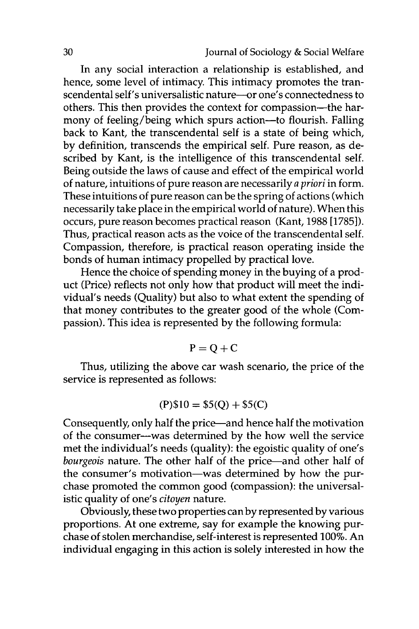In any social interaction a relationship is established, and hence, some level of intimacy. This intimacy promotes the transcendental self's universalistic nature-or one's connectedness to others. This then provides the context for compassion-the harmony of feeling/being which spurs action-to flourish. Falling back to Kant, the transcendental self is a state of being which, by definition, transcends the empirical self. Pure reason, as described by Kant, is the intelligence of this transcendental self. Being outside the laws of cause and effect of the empirical world of nature, intuitions of pure reason are necessarily *a priori* in form. These intuitions of pure reason can be the spring of actions (which necessarily take place in the empirical world of nature). When this occurs, pure reason becomes practical reason (Kant, 1988 [1785]). Thus, practical reason acts as the voice of the transcendental self. Compassion, therefore, is practical reason operating inside the bonds of human intimacy propelled by practical love.

Hence the choice of spending money in the buying of a product (Price) reflects not only how that product will meet the individual's needs (Quality) but also to what extent the spending of that money contributes to the greater good of the whole (Compassion). This idea is represented by the following formula:

$$
P = Q + C
$$

Thus, utilizing the above car wash scenario, the price of the service is represented as follows:

$$
(P)\$10 = \$5(Q) + \$5(C)
$$

Consequently, only half the price-and hence half the motivation of the consumer-was determined by the how well the service met the individual's needs (quality): the egoistic quality of one's *bourgeois* nature. The other half of the price-and other half of the consumer's motivation-was determined by how the purchase promoted the common good (compassion): the universalistic quality of one's *citoyen* nature.

Obviously, these two properties can by represented by various proportions. At one extreme, say for example the knowing purchase of stolen merchandise, self-interest is represented 100%. An individual engaging in this action is solely interested in how the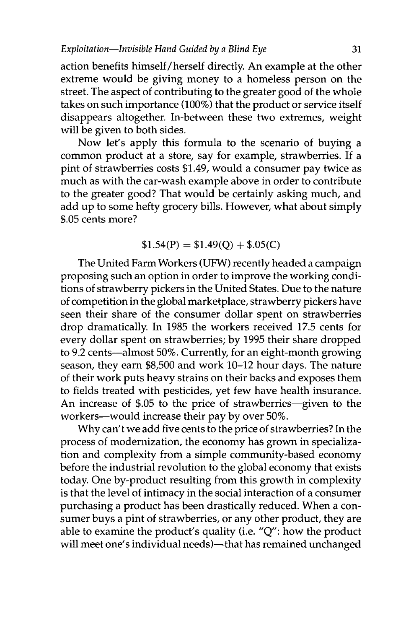action benefits himself/herself directly. An example at the other extreme would be giving money to a homeless person on the street. The aspect of contributing to the greater good of the whole takes on such importance (100%) that the product or service itself disappears altogether. In-between these two extremes, weight will be given to both sides.

Now let's apply this formula to the scenario of buying a common product at a store, say for example, strawberries. If a pint of strawberries costs \$1.49, would a consumer pay twice as much as with the car-wash example above in order to contribute to the greater good? That would be certainly asking much, and add up to some hefty grocery bills. However, what about simply \$.05 cents more?

### $$1.54(P) = $1.49(Q) + $.05(C)$

The United Farm Workers **(UFW)** recently headed a campaign proposing such an option in order to improve the working conditions of strawberry pickers in the United States. Due to the nature of competition in the global marketplace, strawberry pickers have seen their share of the consumer dollar spent on strawberries drop dramatically. In 1985 the workers received 17.5 cents for every dollar spent on strawberries; by 1995 their share dropped to 9.2 cents-almost 50%. Currently, for an eight-month growing season, they earn \$8,500 and work 10-12 hour days. The nature of their work puts heavy strains on their backs and exposes them to fields treated with pesticides, yet few have health insurance. An increase of \$.05 to the price of strawberries-given to the workers-would increase their pay by over 50%.

Why can't we add five cents to the price of strawberries? In the process of modernization, the economy has grown in specialization and complexity from a simple community-based economy before the industrial revolution to the global economy that exists today. One by-product resulting from this growth in complexity is that the level of intimacy in the social interaction of a consumer purchasing a product has been drastically reduced. When a consumer buys a pint of strawberries, or any other product, they are able to examine the product's quality (i.e. "Q": how the product will meet one's individual needs)-that has remained unchanged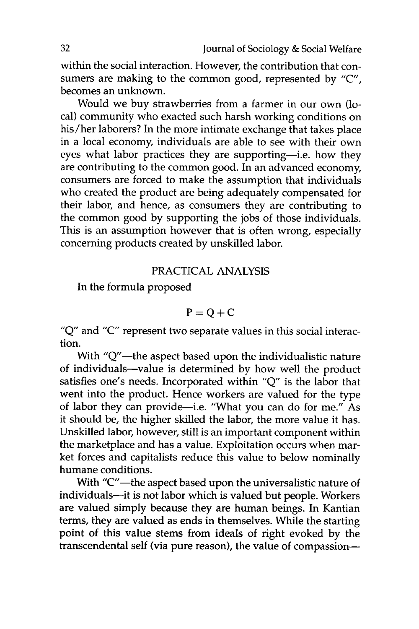within the social interaction. However, the contribution that consumers are making to the common good, represented by **"C",** becomes an unknown.

Would we buy strawberries from a farmer in our own (local) community who exacted such harsh working conditions on his/her laborers? In the more intimate exchange that takes place in a local economy, individuals are able to see with their own eyes what labor practices they are supporting-i.e. how they are contributing to the common good. In an advanced economy, consumers are forced to make the assumption that individuals who created the product are being adequately compensated for their labor, and hence, as consumers they are contributing to the common good by supporting the jobs of those individuals. This is an assumption however that is often wrong, especially concerning products created by unskilled labor.

#### PRACTICAL ANALYSIS

In the formula proposed

$$
P = Q + C
$$

"Q" and "C" represent two separate values in this social interaction.

With "Q"-the aspect based upon the individualistic nature of individuals-value is determined by how well the product satisfies one's needs. Incorporated within "Q" is the labor that went into the product. Hence workers are valued for the type of labor they can provide—i.e. "What you can do for me." As it should be, the higher skilled the labor, the more value it has. Unskilled labor, however, still is an important component within the marketplace and has a value. Exploitation occurs when market forces and capitalists reduce this value to below nominally humane conditions.

With "C"-the aspect based upon the universalistic nature of individuals-it is not labor which is valued but people. Workers are valued simply because they are human beings. In Kantian terms, they are valued as ends in themselves. While the starting point of this value stems from ideals of right evoked by the transcendental self (via pure reason), the value of compassion-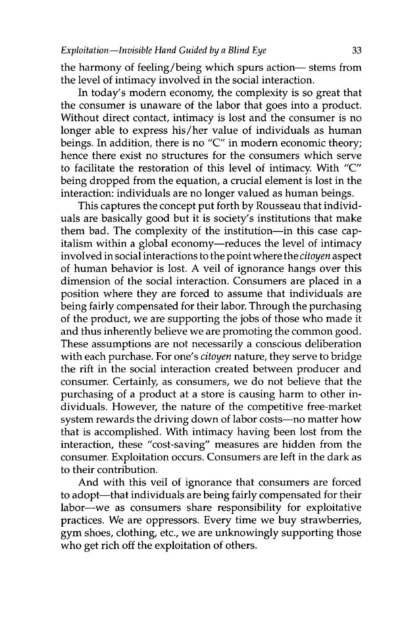the harmony of feeling/being which spurs action- stems from the level of intimacy involved in the social interaction.

In today's modern economy, the complexity is so great that the consumer is unaware of the labor that goes into a product. Without direct contact, intimacy is lost and the consumer is no longer able to express his/her value of individuals as human beings. In addition, there is no "C" in modern economic theory; hence there exist no structures for the consumers which serve to facilitate the restoration of this level of intimacy. With "C" being dropped from the equation, a crucial element is lost in the interaction: individuals are no longer valued as human beings.

This captures the concept put forth by Rousseau that individuals are basically good but it is society's institutions that make them bad. The complexity of the institution-in this case capitalism within a global economy-reduces the level of intimacy involved in social interactions to the point where the *citoyen* aspect of human behavior is lost. A veil of ignorance hangs over this dimension of the social interaction. Consumers are placed in a position where they are forced to assume that individuals are being fairly compensated for their labor. Through the purchasing of the product, we are supporting the jobs of those who made it and thus inherently believe we are promoting the common good. These assumptions are not necessarily a conscious deliberation with each purchase. For one's *citoyen* nature, they serve to bridge the rift in the social interaction created between producer and consumer. Certainly, as consumers, we do not believe that the purchasing of a product at a store is causing harm to other individuals. However, the nature of the competitive free-market system rewards the driving down of labor costs-no matter how that is accomplished. With intimacy having been lost from the interaction, these "cost-saving" measures are hidden from the consumer. Exploitation occurs. Consumers are left in the dark as to their contribution.

And with this veil of ignorance that consumers are forced to adopt-that individuals are being fairly compensated for their labor-we as consumers share responsibility for exploitative practices. We are oppressors. Every time we buy strawberries, gym shoes, clothing, etc., we are unknowingly supporting those who get rich off the exploitation of others.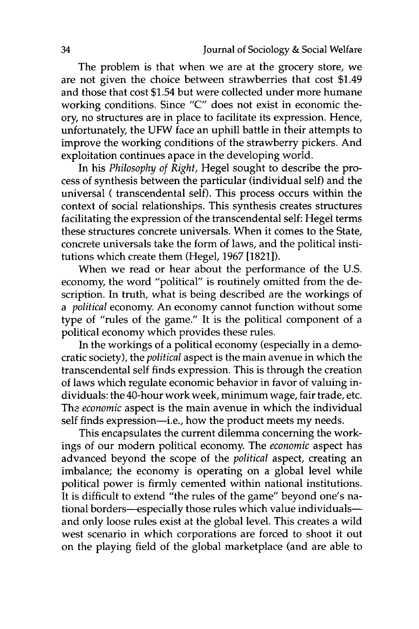The problem is that when we are at the grocery store, we are not given the choice between strawberries that cost \$1.49 and those that cost \$1.54 but were collected under more humane working conditions. Since "C" does not exist in economic theory, no structures are in place to facilitate its expression. Hence, unfortunately, the UFW face an uphill battle in their attempts to improve the working conditions of the strawberry pickers. And exploitation continues apace in the developing world.

In his *Philosophy of Right,* Hegel sought to describe the process of synthesis between the particular (individual self) and the universal ( transcendental self). This process occurs within the context of social relationships. This synthesis creates structures facilitating the expression of the transcendental self: Hegel terms these structures concrete universals. When it comes to the State, concrete universals take the form of laws, and the political institutions which create them (Hegel, 1967 [1821]).

When we read or hear about the performance of the U.S. economy, the word "political" is routinely omitted from the description. In truth, what is being described are the workings of *a political* economy. An economy cannot function without some type of "rules of the game." It is the political component of a political economy which provides these rules.

In the workings of a political economy (especially in a democratic society), the *political* aspect is the main avenue in which the transcendental self finds expression. This is through the creation of laws which regulate economic behavior in favor of valuing individuals: the 40-hour work week, minimum wage, fair trade, etc. The *economic* aspect is the main avenue in which the individual self finds expression—i.e., how the product meets my needs.

This encapsulates the current dilemma concerning the workings of our modern political economy The *economic* aspect has advanced beyond the scope of the *political* aspect, creating an imbalance; the economy is operating on a global level while political power is firmly cemented within national institutions. It is difficult to extend "the rules of the game" beyond one's national borders-especially those rules which value individualsand only loose rules exist at the global level. This creates a wild west scenario in which corporations are forced to shoot it out on the playing field of the global marketplace (and are able to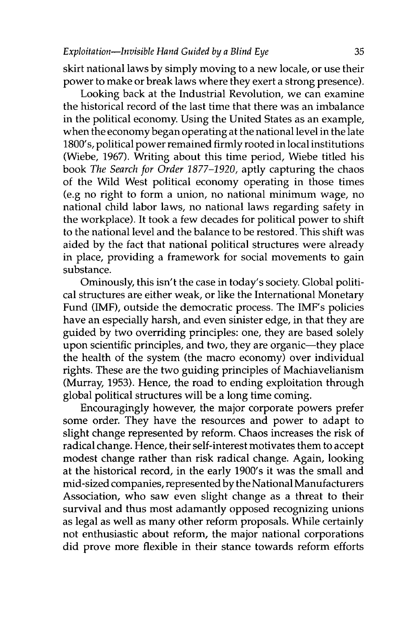skirt national laws by simply moving to a new locale, or use their power to make or break laws where they exert a strong presence).

Looking back at the Industrial Revolution, we can examine the historical record of the last time that there was an imbalance in the political economy. Using the United States as an example, when the economy began operating at the national level in the late 1800's, political power remained firmly rooted in local institutions (Wiebe, 1967). Writing about this time period, Wiebe titled his book *The Search for Order 1877-1920,* aptly capturing the chaos of the Wild West political economy operating in those times (e.g no right to form a union, no national minimum wage, no national child labor laws, no national laws regarding safety in the workplace). It took a few decades for political power to shift to the national level and the balance to be restored. This shift was aided by the fact that national political structures were already in place, providing a framework for social movements to gain substance.

Ominously, this isn't the case in today's society. Global political structures are either weak, or like the International Monetary Fund (IMF), outside the democratic process. The IMF's policies have an especially harsh, and even sinister edge, in that they are guided by two overriding principles: one, they are based solely upon scientific principles, and two, they are organic-they place the health of the system (the macro economy) over individual rights. These are the two guiding principles of Machiavelianism (Murray, 1953). Hence, the road to ending exploitation through global political structures will be a long time coming.

Encouragingly however, the major corporate powers prefer some order. They have the resources and power to adapt to slight change represented by reform. Chaos increases the risk of radical change. Hence, their self-interest motivates them to accept modest change rather than risk radical change. Again, looking at the historical record, in the early 1900's it was the small and mid-sized companies, represented by the National Manufacturers Association, who saw even slight change as a threat to their survival and thus most adamantly opposed recognizing unions as legal as well as many other reform proposals. While certainly not enthusiastic about reform, the major national corporations did prove more flexible in their stance towards reform efforts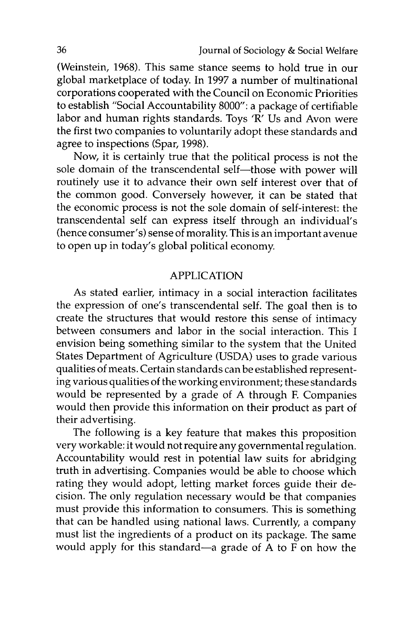(Weinstein, 1968). This same stance seems to hold true in our global marketplace of today. In 1997 a number of multinational corporations cooperated with the Council on Economic Priorities to establish "Social Accountability 8000": a package of certifiable labor and human rights standards. Toys 'R' Us and Avon were the first two companies to voluntarily adopt these standards and agree to inspections (Spar, 1998).

Now, it is certainly true that the political process is not the sole domain of the transcendental self-those with power will routinely use it to advance their own self interest over that of the common good. Conversely however, it can be stated that the economic process is not the sole domain of self-interest: the transcendental self can express itself through an individual's (hence consumer's) sense of morality. This is an important avenue to open up in today's global political economy.

#### APPLICATION

As stated earlier, intimacy in a social interaction facilitates the expression of one's transcendental self. The goal then is to create the structures that would restore this sense of intimacy between consumers and labor in the social interaction. This I envision being something similar to the system that the United States Department of Agriculture (USDA) uses to grade various qualities of meats. Certain standards can be established representing various qualities of the working environment; these standards would be represented by a grade of A through F. Companies would then provide this information on their product as part of their advertising.

The following is a key feature that makes this proposition very workable: it would not require any governmental regulation. Accountability would rest in potential law suits for abridging truth in advertising. Companies would be able to choose which rating they would adopt, letting market forces guide their decision. The only regulation necessary would be that companies must provide this information to consumers. This is something that can be handled using national laws. Currently, a company must list the ingredients of a product on its package. The same would apply for this standard-a grade of A to F on how the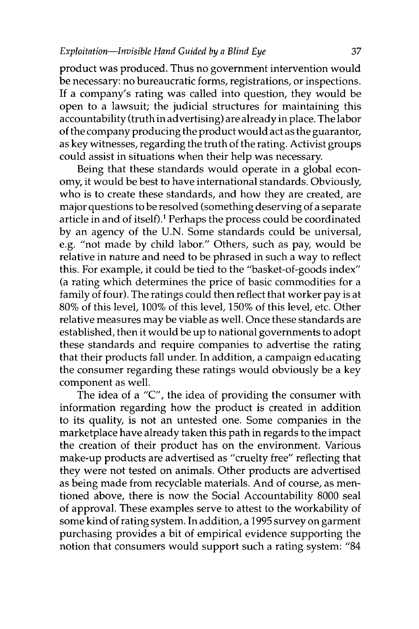product was produced. Thus no government intervention would be necessary: no bureaucratic forms, registrations, or inspections. If a company's rating was called into question, they would be open to a lawsuit; the judicial structures for maintaining this accountability (truth in advertising) are already in place. The labor of the company producing the product would act as the guarantor, as key witnesses, regarding the truth of the rating. Activist groups could assist in situations when their help was necessary.

Being that these standards would operate in a global economy, it would be best to have international standards. Obviously, who is to create these standards, and how they are created, are major questions to be resolved (something deserving of a separate article in and of itself).' Perhaps the process could be coordinated by an agency of the U.N. Some standards could be universal, e.g. "not made by child labor." Others, such as pay, would be relative in nature and need to be phrased in such a way to reflect this. For example, it could be tied to the "basket-of-goods index" (a rating which determines the price of basic commodities for a family of four). The ratings could then reflect that worker pay is at 80% of this level, 100% of this level, 150% of this level, etc. Other relative measures may be viable as well. Once these standards are established, then it would be up to national governments to adopt these standards and require companies to advertise the rating that their products fall under. In addition, a campaign educating the consumer regarding these ratings would obviously be a key component as well.

The idea of a "C", the idea of providing the consumer with information regarding how the product is created in addition to its quality, is not an untested one. Some companies in the marketplace have already taken this path in regards to the impact the creation of their product has on the environment. Various make-up products are advertised as "cruelty free" reflecting that they were not tested on animals. Other products are advertised as being made from recyclable materials. And of course, as mentioned above, there is now the Social Accountability 8000 seal of approval. These examples serve to attest to the workability of some kind of rating system. In addition, a 1995 survey on garment purchasing provides a bit of empirical evidence supporting the notion that consumers would support such a rating system: "84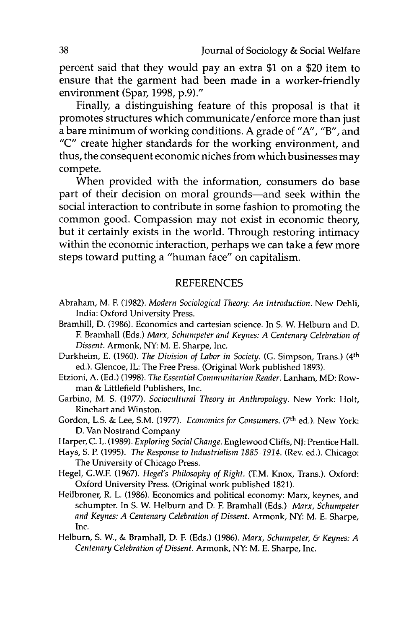percent said that they would pay an extra **\$1** on a \$20 item to ensure that the garment had been made in a worker-friendly environment (Spar, **1998, p.9)."**

Finally, a distinguishing feature of this proposal is that it promotes structures which communicate/enforce more than just a bare minimum of working conditions. **A** grade of **"A',** "B", and **"C"** create higher standards for the working environment, and thus, the consequent economic niches from which businesses may compete.

When provided with the information, consumers do base part of their decision on moral grounds—and seek within the social interaction to contribute in some fashion to promoting the common good. Compassion may not exist in economic theory, but it certainly exists in the world. Through restoring intimacy within the economic interaction, perhaps we can take a few more steps toward putting a "human face" on capitalism.

#### **REFERENCES**

- Abraham, M. F. **(1982).** *Modern Sociological Theory: An Introduction.* New Dehli, India: Oxford University Press.
- Bramhill, **D. (1986).** Economics and cartesian science. In **S.** W. Helburn and **D. F.** Bramhall (Eds.) *Marx, Schumpeter and Keynes: A Centenary Celebration of Dissent.* Armonk, NY: M. **E.** Sharpe, Inc.
- Durkheim, **E. (1960).** *The Division of Labor in Society.* **(G.** Simpson, Trans.) ( <sup>4</sup> th ed.). Glencoe, IL: The Free Press. (Original Work published **1893).**
- Etzioni, **A. (Ed.) (1998).** *The Essential Communitarian Reader.* Lanham, MD: Rowman **&** Littlefield Publishers, Inc.
- Garbino, M. **S. (1977).** *Sociocultural Theory in Anthropology.* New York: Holt, Rinehart and Winston.
- Gordon, L.S. & Lee, S.M. (1977). *Economics for Consumers*. (7<sup>th</sup> ed.). New York: **D.** Van Nostrand Company
- Harper, **C.** L. **(1989).** *Exploring Social Change.* Englewood Cliffs, **NJ:** Prentice Hall.
- Hays, **S. P. (1995).** *The Response to Industrialism 1885-1914.* (Rev. ed.). Chicago: The University of Chicago Press.
- Hegel, G.W.F. **(1967).** *Hegel's Philosophy of Right.* (T.M. Knox, Trans.). Oxford: Oxford University Press. (Original work published **1821).**
- Heilbroner, R. L. **(1986).** Economics and political economy: Marx, keynes, and schumpter. In **S.** W. Helburn and **D. F.** Bramhall (Eds.) *Marx, Schumpeter and Keynes: A Centenary Celebration of Dissent.* Armonk, **NY:** M. **E.** Sharpe, Inc.
- Helburn, **S.** W., **&** Bramhall, **D. F** (Eds.) **(1986).** *Marx, Schumpeter, & Keynes: A Centenary Celebration of Dissent.* Armonk, **NY:** M. **E.** Sharpe, Inc.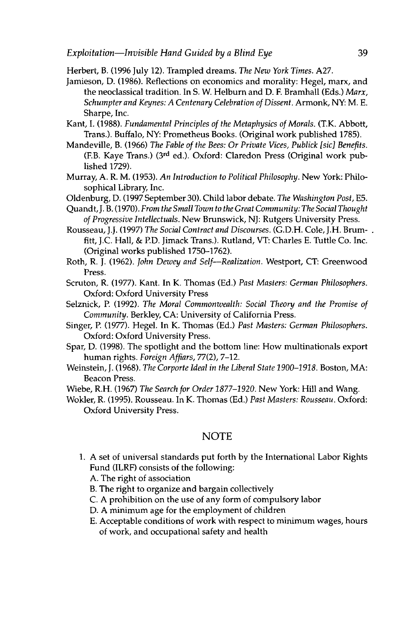Herbert, B. (1996 July 12). Trampled dreams. *The New York Times.* A27.

- Jamieson, D. (1986). Reflections on economics and morality: Hegel, marx, and the neoclassical tradition. In S. W. Helburn and D. F. Bramhall (Eds.) *Marx, Schumpter and Keynes: A Centenary Celebration of Dissent.* Armonk, NY: M. E. Sharpe, Inc.
- Kant, I. (1988). *Fundamental Principles of the Metaphysics of Morals.* (T.K. Abbott, Trans.). Buffalo, NY: Prometheus Books. (Original work published 1785).
- Mandeville, B. (1966) *The Fable of the Bees: Or Private Vices, Publick [sic] Benefits.* (F.B. Kaye Trans.) **(3 rd** ed.). Oxford: Claredon Press (Original work published 1729).
- Murray, A. R. M. (1953). *An Introduction to Political Philosophy.* New York: Philosophical Library, Inc.
- Oldenburg, D. (1997 September 30). Child labor debate. *The Washington Post, E5.*
- Quandt, J. B. (1970). *From the Small Town to the Great Community: The Social Thought of Progressive Intellectuals.* New Brunswick, NJ: Rutgers University Press.
- Rousseau, J.J. (1997) *The Social Contract and Discourses.* (G.D.H. Cole, J.H. Brumfitt, **J.C.** Hall, & P.D. Jimack Trans.). Rutland, VT: Charles E. Tuttle Co. Inc. (Original works published 1750-1762).
- Roth, R. J. (1962). *John Dewey and Self-Realization.* Westport, CT: Greenwood Press.
- Scruton, R. (1977). Kant. In K. Thomas (Ed.) *Past Masters: German Philosophers.* Oxford: Oxford University Press
- Selznick, P. (1992). *The Moral Commonwealth: Social Theory and the Promise of Community.* Berkley, CA: University of California Press.
- Singer, P. (1977). Hegel. In K. Thomas (Ed.) *Past Masters: German Philosophers.* Oxford: Oxford University Press.
- Spar, D. (1998). The spotlight and the bottom line: How multinationals export human rights. *Foreign Affiars,* 77(2), 7-12.
- Weinstein, **J.** (1968). *The Corporte Ideal in the Liberal State 1900-1918.* Boston, MA: Beacon Press.

Wiebe, R.H. (1967) *The Search for Order 1877-1920.* New York: Hill and Wang.

Wokler, R. (1995). Rousseau. In K. Thomas (Ed.) *Past Masters: Rousseau.* Oxford: Oxford University Press.

#### NOTE

- 1. A set of universal standards put forth by the International Labor Rights Fund (ILRF) consists of the following:
	- A. The right of association
	- B. The right to organize and bargain collectively
	- C. A prohibition on the use of any form of compulsory labor
	- D. A minimum age for the employment of children
	- E. Acceptable conditions of work with respect to minimum wages, hours of work, and occupational safety and health